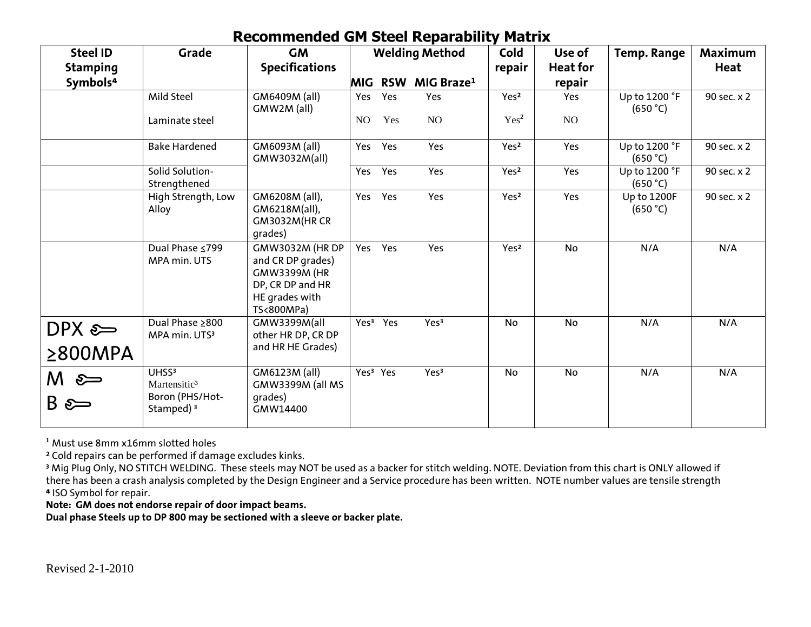## **Recommended GM Steel Reparability Matrix**

| <b>Steel ID</b>            | Grade                                                                                     | <b>GM</b>                                                                                                       |     |                      | <b>Welding Method</b>  | Cold             | Use of    | <b>Temp. Range</b>             | <b>Maximum</b> |
|----------------------------|-------------------------------------------------------------------------------------------|-----------------------------------------------------------------------------------------------------------------|-----|----------------------|------------------------|------------------|-----------|--------------------------------|----------------|
| <b>Stamping</b>            |                                                                                           | <b>Specifications</b>                                                                                           |     |                      | repair                 | <b>Heat for</b>  |           | Heat                           |                |
| Symbols <sup>4</sup>       |                                                                                           |                                                                                                                 |     | <b>MIG RSW</b>       | MIG Braze <sup>1</sup> |                  | repair    |                                |                |
|                            | Mild Steel                                                                                | GM6409M (all)<br>GMW2M (all)                                                                                    | Yes | Yes                  | Yes                    | Yes <sup>2</sup> | Yes       | Up to 1200 °F<br>(650 °C)      | 90 sec. x 2    |
|                            | Laminate steel                                                                            |                                                                                                                 | NO  | Yes                  | NO                     | Yes <sup>2</sup> | NO        |                                |                |
|                            | <b>Bake Hardened</b>                                                                      | GM6093M (all)<br>GMW3032M(all)                                                                                  | Yes | Yes                  | Yes                    | Yes <sup>2</sup> | Yes       | Up to 1200 °F<br>(650 °C)      | 90 sec. x 2    |
|                            | Solid Solution-<br>Strengthened                                                           |                                                                                                                 | Yes | Yes                  | Yes                    | Yes <sup>2</sup> | Yes       | Up to 1200 °F<br>(650 °C)      | 90 sec. x 2    |
|                            | High Strength, Low<br>Alloy                                                               | GM6208M (all),<br>GM6218M(all),<br>GM3032M(HRCR<br>qrades)                                                      | Yes | Yes                  | Yes                    | Yes <sup>2</sup> | Yes       | <b>Up to 1200F</b><br>(650 °C) | 90 sec. x 2    |
|                            | Dual Phase ≤799<br>MPA min. UTS                                                           | GMW3032M (HR DP<br>and CR DP grades)<br><b>GMW3399M (HR</b><br>DP, CR DP and HR<br>HE grades with<br>TS<800MPa) | Yes | Yes                  | Yes                    | Yes <sup>2</sup> | <b>No</b> | N/A                            | N/A            |
| $DPX \approx$              | Dual Phase ≥800<br>MPA min. UTS3                                                          | GMW3399M(all<br>other HR DP, CR DP                                                                              |     | Yes <sup>3</sup> Yes | Yes <sup>3</sup>       | No               | No        | N/A                            | N/A            |
| $\geq$ 800MPA              |                                                                                           | and HR HE Grades)                                                                                               |     |                      |                        |                  |           |                                |                |
| $M \approx$<br>$B \approx$ | UHSS <sup>3</sup><br>Martensitic <sup>3</sup><br>Boron (PHS/Hot-<br>Stamped) <sup>3</sup> | GM6123M (all)<br>GMW3399M (all MS<br>grades)<br>GMW14400                                                        |     | Yes <sup>3</sup> Yes | Yes <sup>3</sup>       | <b>No</b>        | No        | N/A                            | N/A            |

**<sup>1</sup>** Must use 8mm x16mm slotted holes

**<sup>2</sup>** Cold repairs can be performed if damage excludes kinks.

<sup>3</sup> Mig Plug Only, NO STITCH WELDING. These steels may NOT be used as a backer for stitch welding. NOTE. Deviation from this chart is ONLY allowed if there has been a crash analysis completed by the Design Engineer and a Service procedure has been written. NOTE number values are tensile strength **⁴** ISO Symbol for repair.

**Note: GM does not endorse repair of door impact beams.**

**Dual phase Steels up to DP 800 may be sectioned with a sleeve or backer plate.**